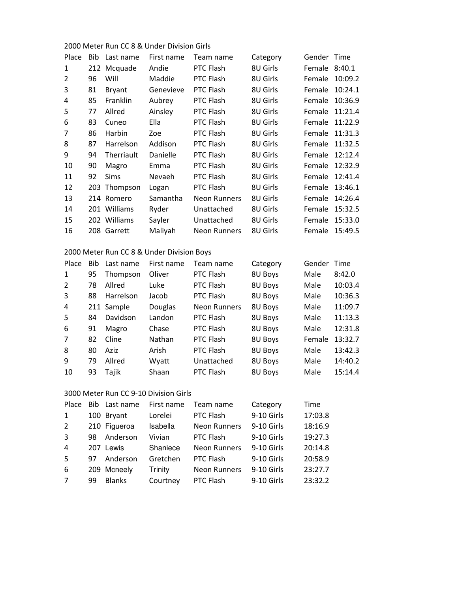#### 2000 Meter Run CC 8 & Under Division Girls

| Place | Bib. | Last name     | First name    | Team name           | Category | Gender Time   |         |
|-------|------|---------------|---------------|---------------------|----------|---------------|---------|
| 1     |      | 212 Mcquade   | Andie         | <b>PTC Flash</b>    | 8U Girls | Female 8:40.1 |         |
| 2     | 96   | Will          | Maddie        | PTC Flash           | 8U Girls | Female        | 10:09.2 |
| 3     | 81   | <b>Bryant</b> | Genevieve     | PTC Flash           | 8U Girls | Female        | 10:24.1 |
| 4     | 85   | Franklin      | Aubrey        | <b>PTC Flash</b>    | 8U Girls | Female        | 10:36.9 |
| 5     | 77   | Allred        | Ainsley       | <b>PTC Flash</b>    | 8U Girls | Female        | 11:21.4 |
| 6     | 83   | Cuneo         | Ella          | PTC Flash           | 8U Girls | Female        | 11:22.9 |
| 7     | 86   | Harbin        | Zoe           | <b>PTC Flash</b>    | 8U Girls | Female        | 11:31.3 |
| 8     | 87   | Harrelson     | Addison       | <b>PTC Flash</b>    | 8U Girls | Female        | 11:32.5 |
| 9     | 94   | Therriault    | Danielle      | PTC Flash           | 8U Girls | Female        | 12:12.4 |
| 10    | 90   | Magro         | Emma          | PTC Flash           | 8U Girls | Female        | 12:32.9 |
| 11    | 92   | <b>Sims</b>   | <b>Nevaeh</b> | PTC Flash           | 8U Girls | Female        | 12:41.4 |
| 12    |      | 203 Thompson  | Logan         | <b>PTC Flash</b>    | 8U Girls | Female        | 13:46.1 |
| 13    |      | 214 Romero    | Samantha      | Neon Runners        | 8U Girls | Female        | 14:26.4 |
| 14    |      | 201 Williams  | Ryder         | Unattached          | 8U Girls | Female        | 15:32.5 |
| 15    |      | 202 Williams  | Sayler        | Unattached          | 8U Girls | Female        | 15:33.0 |
| 16    |      | 208 Garrett   | Maliyah       | <b>Neon Runners</b> | 8U Girls | Female        | 15:49.5 |

# 2000 Meter Run CC 8 & Under Division Boys

| Place | Bib. | Last name  | First name | Team name           | Category | Gender | Time    |
|-------|------|------------|------------|---------------------|----------|--------|---------|
| 1     | 95   | Thompson   | Oliver     | PTC Flash           | 8U Boys  | Male   | 8:42.0  |
| 2     | 78   | Allred     | Luke       | PTC Flash           | 8U Boys  | Male   | 10:03.4 |
| 3     | 88   | Harrelson  | Jacob      | PTC Flash           | 8U Boys  | Male   | 10:36.3 |
| 4     |      | 211 Sample | Douglas    | <b>Neon Runners</b> | 8U Boys  | Male   | 11:09.7 |
| 5     | 84   | Davidson   | Landon     | PTC Flash           | 8U Boys  | Male   | 11:13.3 |
| 6     | 91   | Magro      | Chase      | PTC Flash           | 8U Boys  | Male   | 12:31.8 |
| 7     | 82   | Cline      | Nathan     | PTC Flash           | 8U Boys  | Female | 13:32.7 |
| 8     | 80   | Aziz       | Arish      | PTC Flash           | 8U Boys  | Male   | 13:42.3 |
| 9     | 79   | Allred     | Wyatt      | Unattached          | 8U Boys  | Male   | 14:40.2 |
| 10    | 93   | Tajik      | Shaan      | <b>PTC Flash</b>    | 8U Boys  | Male   | 15:14.4 |

# 3000 Meter Run CC 9-10 Division Girls

| Place |     | Bib Last name | First name | Team name           | Category   | Time    |
|-------|-----|---------------|------------|---------------------|------------|---------|
| 1     |     | 100 Bryant    | Lorelei    | PTC Flash           | 9-10 Girls | 17:03.8 |
| 2     |     | 210 Figueroa  | Isabella   | <b>Neon Runners</b> | 9-10 Girls | 18:16.9 |
| 3     | 98  | Anderson      | Vivian     | PTC Flash           | 9-10 Girls | 19:27.3 |
| 4     | 207 | Lewis         | Shaniece   | <b>Neon Runners</b> | 9-10 Girls | 20:14.8 |
| -5    | 97  | Anderson      | Gretchen   | PTC Flash           | 9-10 Girls | 20:58.9 |
| -6    |     | 209 Mcneely   | Trinity    | <b>Neon Runners</b> | 9-10 Girls | 23:27.7 |
| 7     | 99  | <b>Blanks</b> | Courtney   | PTC Flash           | 9-10 Girls | 23:32.2 |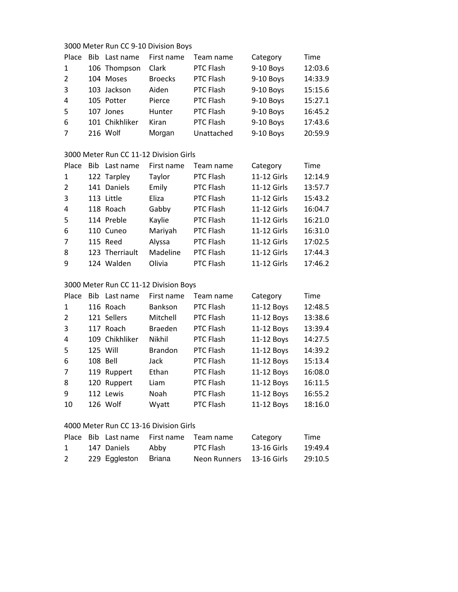#### 3000 Meter Run CC 9-10 Division Boys

| Place          | Bib Last name  | First name     | Team name  | Category  | Time    |
|----------------|----------------|----------------|------------|-----------|---------|
| 1              | 106 Thompson   | Clark          | PTC Flash  | 9-10 Boys | 12:03.6 |
| 2              | 104 Moses      | <b>Broecks</b> | PTC Flash  | 9-10 Boys | 14:33.9 |
| $\overline{3}$ | 103 Jackson    | Aiden          | PTC Flash  | 9-10 Boys | 15:15.6 |
| 4              | 105 Potter     | Pierce         | PTC Flash  | 9-10 Boys | 15:27.1 |
| -5             | 107 Jones      | Hunter         | PTC Flash  | 9-10 Boys | 16:45.2 |
| -6             | 101 Chikhliker | Kiran          | PTC Flash  | 9-10 Boys | 17:43.6 |
| 7              | 216 Wolf       | Morgan         | Unattached | 9-10 Boys | 20:59.9 |

## 3000 Meter Run CC 11-12 Division Girls

| Place          | Bib Last name  | First name | Team name | Category    | Time    |
|----------------|----------------|------------|-----------|-------------|---------|
| 1              | 122 Tarpley    | Taylor     | PTC Flash | 11-12 Girls | 12:14.9 |
| $\overline{2}$ | 141 Daniels    | Emily      | PTC Flash | 11-12 Girls | 13:57.7 |
| 3              | 113 Little     | Eliza      | PTC Flash | 11-12 Girls | 15:43.2 |
| 4              | 118 Roach      | Gabby      | PTC Flash | 11-12 Girls | 16:04.7 |
| -5             | 114 Preble     | Kaylie     | PTC Flash | 11-12 Girls | 16:21.0 |
| 6              | 110 Cuneo      | Mariyah    | PTC Flash | 11-12 Girls | 16:31.0 |
| 7              | 115 Reed       | Alyssa     | PTC Flash | 11-12 Girls | 17:02.5 |
| 8              | 123 Therriault | Madeline   | PTC Flash | 11-12 Girls | 17:44.3 |
| 9              | 124 Walden     | Olivia     | PTC Flash | 11-12 Girls | 17:46.2 |

### 3000 Meter Run CC 11-12 Division Boys

| Place         | Bib Last name  | First name     | Team name | Category   | Time    |
|---------------|----------------|----------------|-----------|------------|---------|
| 1             | 116 Roach      | Bankson        | PTC Flash | 11-12 Boys | 12:48.5 |
| $\mathcal{L}$ | 121 Sellers    | Mitchell       | PTC Flash | 11-12 Boys | 13:38.6 |
| 3             | 117 Roach      | <b>Braeden</b> | PTC Flash | 11-12 Boys | 13:39.4 |
| 4             | 109 Chikhliker | <b>Nikhil</b>  | PTC Flash | 11-12 Boys | 14:27.5 |
| 5             | 125 Will       | <b>Brandon</b> | PTC Flash | 11-12 Boys | 14:39.2 |
| 6             | 108 Bell       | Jack           | PTC Flash | 11-12 Boys | 15:13.4 |
| 7             | 119 Ruppert    | Ethan          | PTC Flash | 11-12 Boys | 16:08.0 |
| 8             | 120 Ruppert    | Liam           | PTC Flash | 11-12 Boys | 16:11.5 |
| 9             | 112 Lewis      | Noah           | PTC Flash | 11-12 Boys | 16:55.2 |
| 10            | 126 Wolf       | Wyatt          | PTC Flash | 11-12 Boys | 18:16.0 |

#### 4000 Meter Run CC 13-16 Division Girls

|   |                      | Place Bib Last name First name Team name |                          | Category    | Time    |
|---|----------------------|------------------------------------------|--------------------------|-------------|---------|
| 1 | 147 Daniels          | Abby                                     | PTC Flash                | 13-16 Girls | 19:49.4 |
| 2 | 229 Eggleston Briana |                                          | Neon Runners 13-16 Girls |             | 29:10.5 |